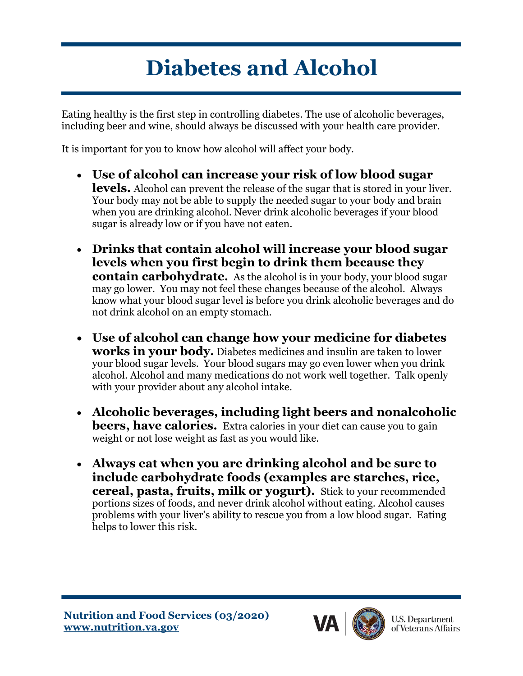## **Diabetes and Alcohol**

Eating healthy is the first step in controlling diabetes. The use of alcoholic beverages, including beer and wine, should always be discussed with your health care provider.

It is important for you to know how alcohol will affect your body.

- **Use of alcohol can increase your risk of low blood sugar levels.** Alcohol can prevent the release of the sugar that is stored in your liver. Your body may not be able to supply the needed sugar to your body and brain when you are drinking alcohol. Never drink alcoholic beverages if your blood sugar is already low or if you have not eaten.
- **Drinks that contain alcohol will increase your blood sugar levels when you first begin to drink them because they contain carbohydrate.** As the alcohol is in your body, your blood sugar may go lower. You may not feel these changes because of the alcohol. Always know what your blood sugar level is before you drink alcoholic beverages and do not drink alcohol on an empty stomach.
- **Use of alcohol can change how your medicine for diabetes works in your body.** Diabetes medicines and insulin are taken to lower your blood sugar levels. Your blood sugars may go even lower when you drink alcohol. Alcohol and many medications do not work well together. Talk openly with your provider about any alcohol intake.
- **Alcoholic beverages, including light beers and nonalcoholic beers, have calories.** Extra calories in your diet can cause you to gain weight or not lose weight as fast as you would like.
- **Always eat when you are drinking alcohol and be sure to include carbohydrate foods (examples are starches, rice, cereal, pasta, fruits, milk or yogurt).** Stick to your recommended portions sizes of foods, and never drink alcohol without eating. Alcohol causes problems with your liver's ability to rescue you from a low blood sugar. Eating helps to lower this risk.